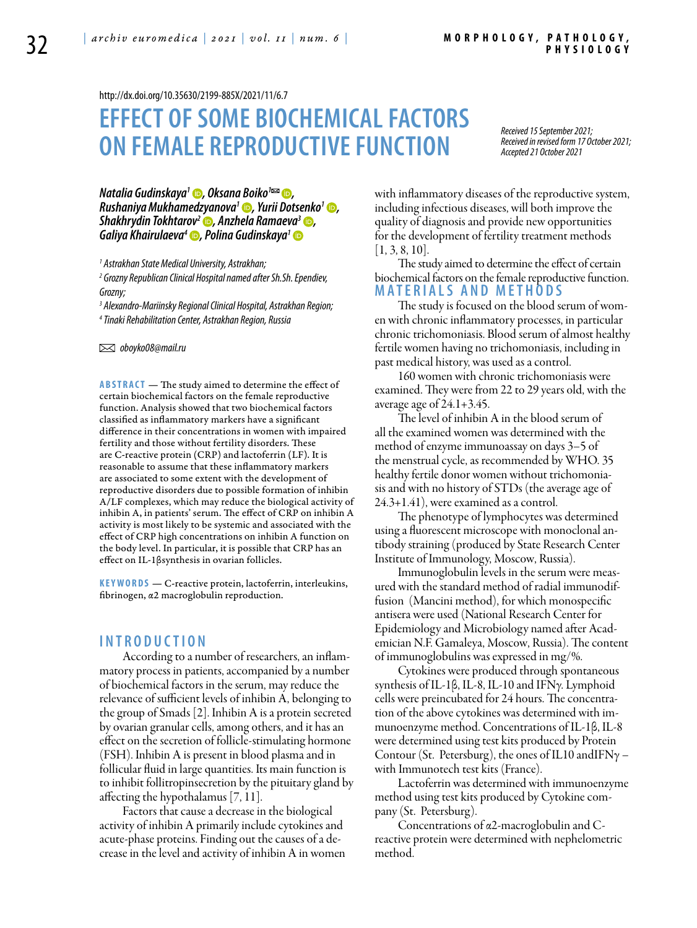<http://dx.doi.org/10.35630/2199-885X/2021/11/6.7>

# **Effect of some biochemical factors on female reproductive function**

*Received 15 September 2021; Received in revised form 17 October 2021; Accepted 21 October 2021*

*Natalia Gudinskaya<sup>1</sup> D, [Oksana Boiko](https://orcid.org/
0000-0003-3882-9300)<sup>1</sup><sup>⊠</sup> D, [Rushaniya Mukhamedzyanova](https://orcid.org/0000-0001-7445-0598)<sup>1</sup> •, Yurii Dotsenko<sup>1</sup> •, [Shakhrydin Tokhtarov2](https://orcid.org/0000-0002-8966-9282) , [Anzhela Ramaeva3](https://orcid.org/0000-0003-1178-4085) , [Galiya Khairulaeva](https://orcid.org/0000-0002-7832-6591)4 , [Polina Gudinskaya1](https://orcid.org/0000-0002-4989-491X)*

*1 Astrakhan State Medical University, Astrakhan;*

*2 Grozny Republican Clinical Hospital named after Sh.Sh. Ependiev, Grozny;*

*3 Alexandro-Mariinsky Regional Clinical Hospital, Astrakhan Region; 4 Tinaki Rehabilitation Center, Astrakhan Region, Russia*

 *oboyko08@mail.ru* 

**ABSTRACT** — The study aimed to determine the effect of certain biochemical factors on the female reproductive function. Analysis showed that two biochemical factors classified as inflammatory markers have a significant difference in their concentrations in women with impaired fertility and those without fertility disorders. These are C-reactive protein (CRP) and lactoferrin (LF). It is reasonable to assume that these inflammatory markers are associated to some extent with the development of reproductive disorders due to possible formation of inhibin A/LF complexes, which may reduce the biological activity of inhibin A, in patients' serum. The effect of CRP on inhibin A activity is most likely to be systemic and associated with the effect of CRP high concentrations on inhibin A function on the body level. In particular, it is possible that CRP has an effect on IL-1βsynthesis in ovarian follicles.

**KEYWORDS** — C-reactive protein, lactoferrin, interleukins, fibrinogen, α2 macroglobulin reproduction.

### **I n t r o d uct i o n**

According to a number of researchers, an inflammatory process in patients, accompanied by a number of biochemical factors in the serum, may reduce the relevance of sufficient levels of inhibin A, belonging to the group of Smads [2]. Inhibin A is a protein secreted by ovarian granular cells, among others, and it has an effect on the secretion of follicle-stimulating hormone (FSH). Inhibin A is present in blood plasma and in follicular fluid in large quantities. Its main function is to inhibit follitropinsecretion by the pituitary gland by affecting the hypothalamus [7, 11].

Factors that cause a decrease in the biological activity of inhibin A primarily include cytokines and acute-phase proteins. Finding out the causes of a decrease in the level and activity of inhibin A in women with inflammatory diseases of the reproductive system, including infectious diseases, will both improve the quality of diagnosis and provide new opportunities for the development of fertility treatment methods  $[1, 3, 8, 10]$ .

The study aimed to determine the effect of certain biochemical factors on the female reproductive function. **M a t e r i a l s a n d me t h o d s**

The study is focused on the blood serum of women with chronic inflammatory processes, in particular chronic trichomoniasis. Blood serum of almost healthy fertile women having no trichomoniasis, including in past medical history, was used as a control.

160 women with chronic trichomoniasis were examined. They were from 22 to 29 years old, with the average age of  $24.1+3.45$ .

The level of inhibin A in the blood serum of all the examined women was determined with the method of enzyme immunoassay on days 3–5 of the menstrual cycle, as recommended by WHO. 35 healthy fertile donor women without trichomoniasis and with no history of STDs (the average age of 24.3+1.41), were examined as a control.

The phenotype of lymphocytes was determined using a fluorescent microscope with monoclonal antibody straining (produced by State Research Center Institute of Immunology, Moscow, Russia).

Immunoglobulin levels in the serum were measured with the standard method of radial immunodiffusion (Mancini method), for which monospecific antisera were used (National Research Center for Epidemiology and Microbiology named after Academician N.F. Gamaleya, Moscow, Russia). The content of immunoglobulins was expressed in mg/%.

Cytokines were produced through spontaneous synthesis of IL-1β, IL-8, IL-10 and IFNγ. Lymphoid cells were preincubated for 24 hours. The concentration of the above cytokines was determined with immunoenzyme method. Concentrations of IL-1β, IL-8 were determined using test kits produced by Protein Contour (St. Petersburg), the ones of IL10 and IFN $\gamma$  – with Immunotech test kits (France).

Lactoferrin was determined with immunoenzyme method using test kits produced by Cytokine company (St. Petersburg).

Concentrations of α2-macroglobulin and Creactive protein were determined with nephelometric method.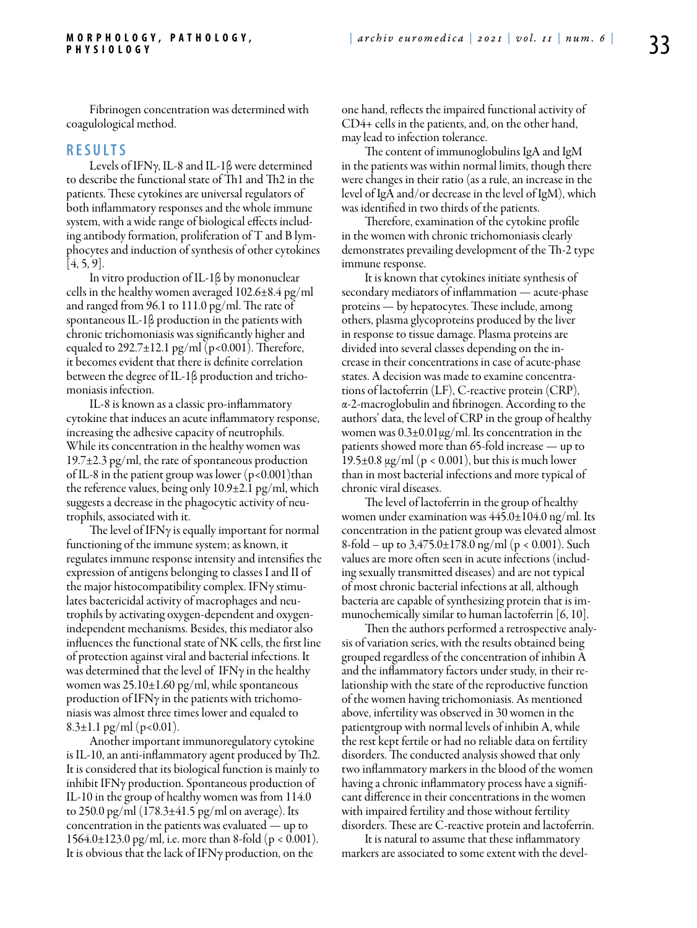Fibrinogen concentration was determined with coagulological method.

#### **R e s u l t s**

Levels of IFNγ, IL-8 and IL-1β were determined to describe the functional state of Th1 and Th2 in the patients. These cytokines are universal regulators of both inflammatory responses and the whole immune system, with a wide range of biological effects including antibody formation, proliferation of T and B lymphocytes and induction of synthesis of other cytokines  $[4, 5, 9]$ .

In vitro production of IL-1β by mononuclear cells in the healthy women averaged  $102.6\pm8.4$  pg/ml and ranged from 96.1 to 111.0 pg/ml. The rate of spontaneous IL-1β production in the patients with chronic trichomoniasis was significantly higher and equaled to  $292.7\pm12.1$  pg/ml (p<0.001). Therefore, it becomes evident that there is definite correlation between the degree of IL-1β production and trichomoniasis infection.

IL-8 is known as a classic pro-inflammatory cytokine that induces an acute inflammatory response, increasing the adhesive capacity of neutrophils. While its concentration in the healthy women was 19.7±2.3 pg/ml, the rate of spontaneous production of IL-8 in the patient group was lower  $(p<0.001)$ than the reference values, being only 10.9±2.1 pg/ml, which suggests a decrease in the phagocytic activity of neutrophils, associated with it.

The level of IFN $\gamma$  is equally important for normal functioning of the immune system; as known, it regulates immune response intensity and intensifies the expression of antigens belonging to classes I and II of the major histocompatibility complex. IFNγ stimulates bactericidal activity of macrophages and neutrophils by activating oxygen-dependent and oxygenindependent mechanisms. Besides, this mediator also influences the functional state of NK cells, the first line of protection against viral and bacterial infections. It was determined that the level of IFN $\gamma$  in the healthy women was  $25.10\pm1.60$  pg/ml, while spontaneous production of IFN $\gamma$  in the patients with trichomoniasis was almost three times lower and equaled to  $8.3 \pm 1.1$  pg/ml (p<0.01).

Another important immunoregulatory cytokine is IL-10, an anti-inflammatory agent produced by Th2. It is considered that its biological function is mainly to inhibit IFNγ production. Spontaneous production of IL-10 in the group of healthy women was from 114.0 to 250.0 pg/ml (178.3±41.5 pg/ml on average). Its concentration in the patients was evaluated — up to 1564.0±123.0 pg/ml, i.e. more than 8-fold (p < 0.001). It is obvious that the lack of IFNγ production, on the

one hand, reflects the impaired functional activity of CD4+ cells in the patients, and, on the other hand, may lead to infection tolerance.

The content of immunoglobulins IgA and IgM in the patients was within normal limits, though there were changes in their ratio (as a rule, an increase in the level of IgA and/or decrease in the level of IgM), which was identified in two thirds of the patients.

Therefore, examination of the cytokine profile in the women with chronic trichomoniasis clearly demonstrates prevailing development of the Th-2 type immune response.

It is known that cytokines initiate synthesis of secondary mediators of inflammation — acute-phase proteins — by hepatocytes. These include, among others, plasma glycoproteins produced by the liver in response to tissue damage. Plasma proteins are divided into several classes depending on the increase in their concentrations in case of acute-phase states. A decision was made to examine concentrations of lactoferrin (LF), C-reactive protein (CRP), α-2-macroglobulin and fibrinogen. According to the authors' data, the level of CRP in the group of healthy women was  $0.3\pm0.01\,\mathrm{\mu g/mL}$ . Its concentration in the patients showed more than 65-fold increase — up to 19.5 $\pm$ 0.8 µg/ml (p < 0.001), but this is much lower than in most bacterial infections and more typical of chronic viral diseases.

The level of lactoferrin in the group of healthy women under examination was  $445.0 \pm 104.0$  ng/ml. Its concentration in the patient group was elevated almost 8-fold – up to  $3,475.0 \pm 178.0$  ng/ml (p < 0.001). Such values are more often seen in acute infections (including sexually transmitted diseases) and are not typical of most chronic bacterial infections at all, although bacteria are capable of synthesizing protein that is immunochemically similar to human lactoferrin  $[6, 10]$ .

Then the authors performed a retrospective analysis of variation series, with the results obtained being grouped regardless of the concentration of inhibin A and the inflammatory factors under study, in their relationship with the state of the reproductive function of the women having trichomoniasis. As mentioned above, infertility was observed in 30 women in the patientgroup with normal levels of inhibin A, while the rest kept fertile or had no reliable data on fertility disorders. The conducted analysis showed that only two inflammatory markers in the blood of the women having a chronic inflammatory process have a significant difference in their concentrations in the women with impaired fertility and those without fertility disorders. These are C-reactive protein and lactoferrin.

It is natural to assume that these inflammatory markers are associated to some extent with the devel